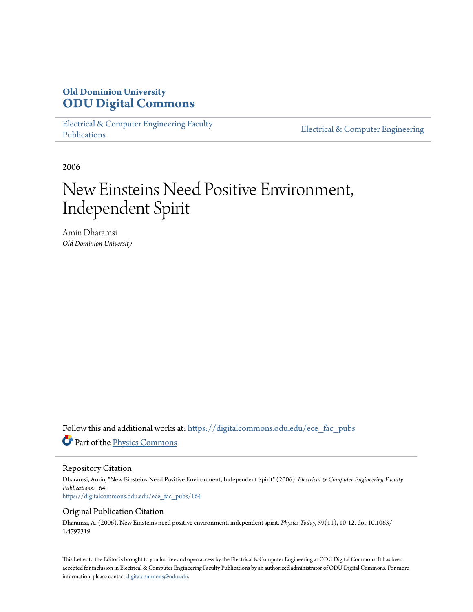### **Old Dominion University [ODU Digital Commons](https://digitalcommons.odu.edu?utm_source=digitalcommons.odu.edu%2Fece_fac_pubs%2F164&utm_medium=PDF&utm_campaign=PDFCoverPages)**

[Electrical & Computer Engineering Faculty](https://digitalcommons.odu.edu/ece_fac_pubs?utm_source=digitalcommons.odu.edu%2Fece_fac_pubs%2F164&utm_medium=PDF&utm_campaign=PDFCoverPages) [Publications](https://digitalcommons.odu.edu/ece_fac_pubs?utm_source=digitalcommons.odu.edu%2Fece_fac_pubs%2F164&utm_medium=PDF&utm_campaign=PDFCoverPages)

[Electrical & Computer Engineering](https://digitalcommons.odu.edu/ece?utm_source=digitalcommons.odu.edu%2Fece_fac_pubs%2F164&utm_medium=PDF&utm_campaign=PDFCoverPages)

2006

# New Einsteins Need Positive Environment, Independent Spirit

Amin Dharamsi *Old Dominion University*

Follow this and additional works at: [https://digitalcommons.odu.edu/ece\\_fac\\_pubs](https://digitalcommons.odu.edu/ece_fac_pubs?utm_source=digitalcommons.odu.edu%2Fece_fac_pubs%2F164&utm_medium=PDF&utm_campaign=PDFCoverPages) Part of the [Physics Commons](http://network.bepress.com/hgg/discipline/193?utm_source=digitalcommons.odu.edu%2Fece_fac_pubs%2F164&utm_medium=PDF&utm_campaign=PDFCoverPages)

Repository Citation

Dharamsi, Amin, "New Einsteins Need Positive Environment, Independent Spirit" (2006). *Electrical & Computer Engineering Faculty Publications*. 164. [https://digitalcommons.odu.edu/ece\\_fac\\_pubs/164](https://digitalcommons.odu.edu/ece_fac_pubs/164?utm_source=digitalcommons.odu.edu%2Fece_fac_pubs%2F164&utm_medium=PDF&utm_campaign=PDFCoverPages)

#### Original Publication Citation

Dharamsi, A. (2006). New Einsteins need positive environment, independent spirit. *Physics Today, 59*(11), 10-12. doi:10.1063/ 1.4797319

This Letter to the Editor is brought to you for free and open access by the Electrical & Computer Engineering at ODU Digital Commons. It has been accepted for inclusion in Electrical & Computer Engineering Faculty Publications by an authorized administrator of ODU Digital Commons. For more information, please contact [digitalcommons@odu.edu](mailto:digitalcommons@odu.edu).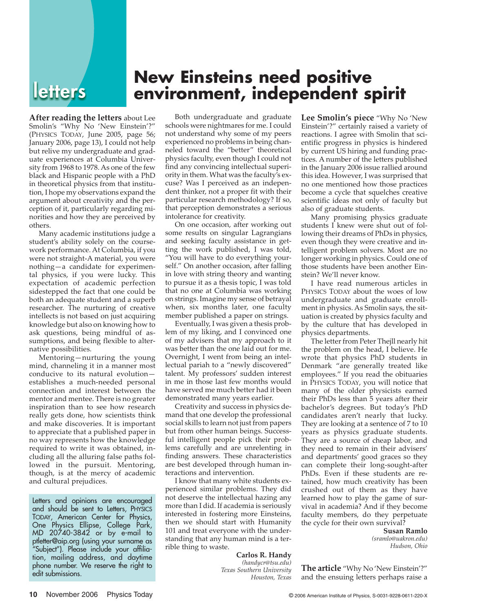letters

## **New Einsteins need positive environment, independent spirit**

**After reading the letters** about Lee Smolin's "Why No 'New Einstein'?" (PHYSICS TODAY, June 2005, page 56; January 2006, page 13), I could not help but relive my undergraduate and graduate experiences at Columbia University from 1968 to 1978. As one of the few black and Hispanic people with a PhD in theoretical physics from that institution, I hope my observations expand the argument about creativity and the perception of it, particularly regarding minorities and how they are perceived by others.

Many academic institutions judge a student's ability solely on the coursework performance. At Columbia, if you were not straight-A material, you were nothing—a candidate for experimental physics, if you were lucky. This expectation of academic perfection sidestepped the fact that one could be both an adequate student and a superb researcher. The nurturing of creative intellects is not based on just acquiring knowledge but also on knowing how to ask questions, being mindful of assumptions, and being flexible to alternative possibilities.

Mentoring—nurturing the young mind, channeling it in a manner most conducive to its natural evolution establishes a much-needed personal connection and interest between the mentor and mentee. There is no greater inspiration than to see how research really gets done, how scientists think and make discoveries. It is important to appreciate that a published paper in no way represents how the knowledge required to write it was obtained, including all the alluring false paths followed in the pursuit. Mentoring, though, is at the mercy of academic and cultural prejudices.

Letters and opinions are encouraged and should be sent to Letters, PHYSICS TODAY, American Center for Physics, One Physics Ellipse, College Park, MD 20740-3842 or by e-mail to ptletter@aip.org (using your surname as "Subject"). Please include your affiliation, mailing address, and daytime phone number. We reserve the right to edit submissions.

Both undergraduate and graduate schools were nightmares for me. I could not understand why some of my peers experienced no problems in being channeled toward the "better" theoretical physics faculty, even though I could not find any convincing intellectual superiority in them. What was the faculty's excuse? Was I perceived as an independent thinker, not a proper fit with their particular research methodology? If so, that perception demonstrates a serious intolerance for creativity.

On one occasion, after working out some results on singular Lagrangians and seeking faculty assistance in getting the work published, I was told, "You will have to do everything yourself." On another occasion, after falling in love with string theory and wanting to pursue it as a thesis topic, I was told that no one at Columbia was working on strings. Imagine my sense of betrayal when, six months later, one faculty member published a paper on strings.

Eventually, I was given a thesis problem of my liking, and I convinced one of my advisers that my approach to it was better than the one laid out for me. Overnight, I went from being an intellectual pariah to a "newly discovered" talent. My professors' sudden interest in me in those last few months would have served me much better had it been demonstrated many years earlier.

Creativity and success in physics demand that one develop the professional social skills to learn not just from papers but from other human beings. Successful intelligent people pick their problems carefully and are unrelenting in finding answers. These characteristics are best developed through human interactions and intervention.

I know that many white students experienced similar problems. They did not deserve the intellectual hazing any more than I did. If academia is seriously interested in fostering more Einsteins, then we should start with Humanity 101 and treat everyone with the understanding that any human mind is a terrible thing to waste.

**Carlos R. Handy** *(handycr@tsu.edu) Texas Southern University Houston, Texas*

**Lee Smolin's piece** "Why No 'New Einstein'?" certainly raised a variety of reactions. I agree with Smolin that scientific progress in physics is hindered by current US hiring and funding practices. A number of the letters published in the January 2006 issue rallied around this idea. However, I was surprised that no one mentioned how those practices become a cycle that squelches creative scientific ideas not only of faculty but also of graduate students.

Many promising physics graduate students I knew were shut out of following their dreams of PhDs in physics, even though they were creative and intelligent problem solvers. Most are no longer working in physics. Could one of those students have been another Einstein? We'll never know.

I have read numerous articles in PHYSICS TODAY about the woes of low undergraduate and graduate enrollment in physics. As Smolin says, the situation is created by physics faculty and by the culture that has developed in physics departments.

The letter from Peter Thejll nearly hit the problem on the head, I believe. He wrote that physics PhD students in Denmark "are generally treated like employees." If you read the obituaries in PHYSICS TODAY, you will notice that many of the older physicists earned their PhDs less than 5 years after their bachelor's degrees. But today's PhD candidates aren't nearly that lucky. They are looking at a sentence of 7 to 10 years as physics graduate students. They are a source of cheap labor, and they need to remain in their advisers' and departments' good graces so they can complete their long-sought-after PhDs. Even if these students are retained, how much creativity has been crushed out of them as they have learned how to play the game of survival in academia? And if they become faculty members, do they perpetuate the cycle for their own survival?

#### **Susan Ramlo**

*(sramlo@uakron.edu) Hudson, Ohio*

**The article** "Why No 'New Einstein'?" and the ensuing letters perhaps raise a